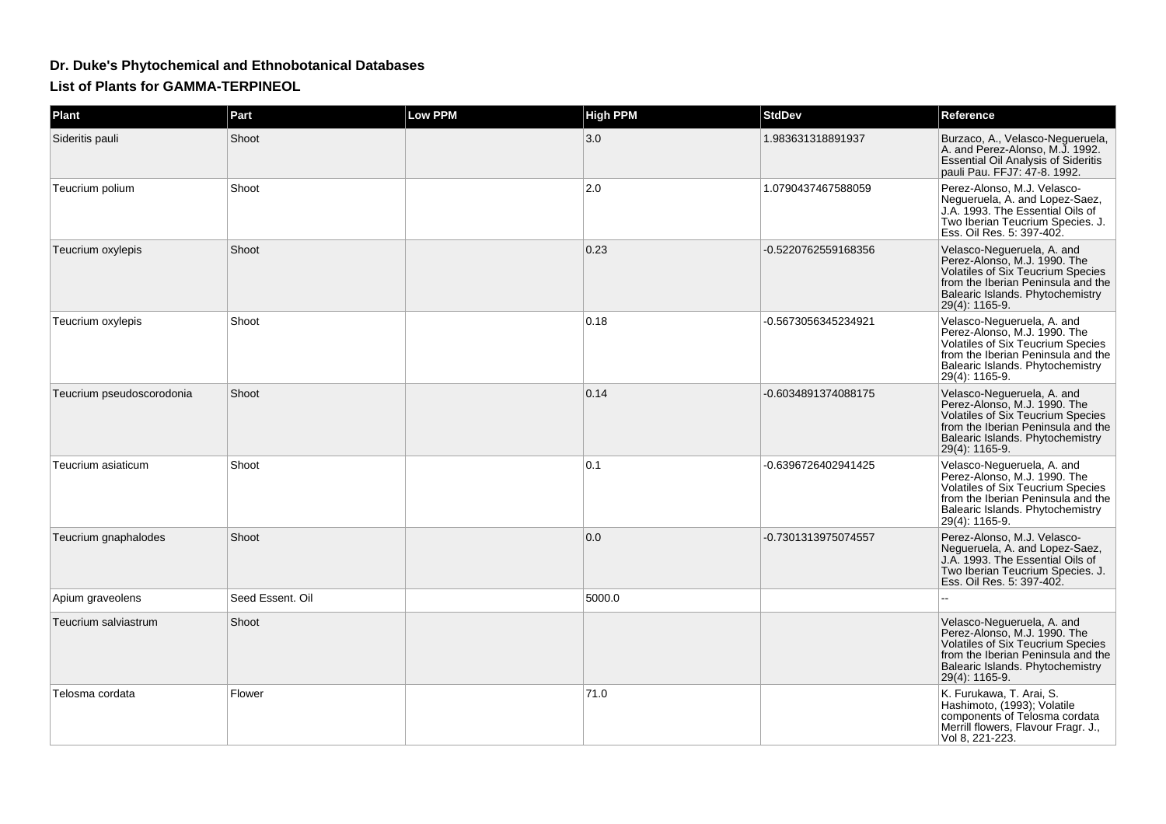## **Dr. Duke's Phytochemical and Ethnobotanical Databases**

**List of Plants for GAMMA-TERPINEOL**

| Plant                     | Part             | <b>Low PPM</b> | <b>High PPM</b> | <b>StdDev</b>       | Reference                                                                                                                                                                                          |
|---------------------------|------------------|----------------|-----------------|---------------------|----------------------------------------------------------------------------------------------------------------------------------------------------------------------------------------------------|
| Sideritis pauli           | Shoot            |                | 3.0             | 1.983631318891937   | Burzaco, A., Velasco-Negueruela,<br>A. and Perez-Alonso, M.J. 1992.<br><b>Essential Oil Analysis of Sideritis</b><br>pauli Pau. FFJ7: 47-8. 1992.                                                  |
| Teucrium polium           | Shoot            |                | 2.0             | 1.0790437467588059  | Perez-Alonso, M.J. Velasco-<br>Negueruela, A. and Lopez-Saez,<br>J.A. 1993. The Essential Oils of<br>Two Iberian Teucrium Species. J.<br>Ess. Oil Res. 5: 397-402.                                 |
| Teucrium oxylepis         | Shoot            |                | 0.23            | -0.5220762559168356 | Velasco-Negueruela, A. and<br>Perez-Alonso, M.J. 1990. The<br>Volatiles of Six Teucrium Species<br>from the Iberian Peninsula and the<br>Balearic Islands. Phytochemistry<br>29(4): 1165-9.        |
| Teucrium oxylepis         | Shoot            |                | 0.18            | -0.5673056345234921 | Velasco-Negueruela, A. and<br>Perez-Alonso, M.J. 1990. The<br>Volatiles of Six Teucrium Species<br>from the Iberian Peninsula and the<br>Balearic Islands. Phytochemistry<br>29(4): 1165-9.        |
| Teucrium pseudoscorodonia | Shoot            |                | 0.14            | -0.6034891374088175 | Velasco-Negueruela, A. and<br>Perez-Alonso, M.J. 1990. The<br><b>Volatiles of Six Teucrium Species</b><br>from the Iberian Peninsula and the<br>Balearic Islands. Phytochemistry<br>29(4): 1165-9. |
| Teucrium asiaticum        | Shoot            |                | 0.1             | -0.6396726402941425 | Velasco-Negueruela, A. and<br>Perez-Alonso, M.J. 1990. The<br><b>Volatiles of Six Teucrium Species</b><br>from the Iberian Peninsula and the<br>Balearic Islands. Phytochemistry<br>29(4): 1165-9. |
| Teucrium gnaphalodes      | Shoot            |                | 0.0             | -0.7301313975074557 | Perez-Alonso, M.J. Velasco-<br>Negueruela, A. and Lopez-Saez,<br>J.A. 1993. The Essential Oils of<br>Two Iberian Teucrium Species. J.<br>Ess. Oil Res. 5: 397-402.                                 |
| Apium graveolens          | Seed Essent, Oil |                | 5000.0          |                     |                                                                                                                                                                                                    |
| Teucrium salviastrum      | Shoot            |                |                 |                     | Velasco-Negueruela, A. and<br>Perez-Alonso, M.J. 1990. The<br><b>Volatiles of Six Teucrium Species</b><br>from the Iberian Peninsula and the<br>Balearic Islands. Phytochemistry<br>29(4): 1165-9. |
| Telosma cordata           | Flower           |                | 71.0            |                     | K. Furukawa, T. Arai, S.<br>Hashimoto, (1993); Volatile<br>components of Telosma cordata<br>Merrill flowers, Flavour Fragr. J.,<br>Vol 8, 221-223.                                                 |